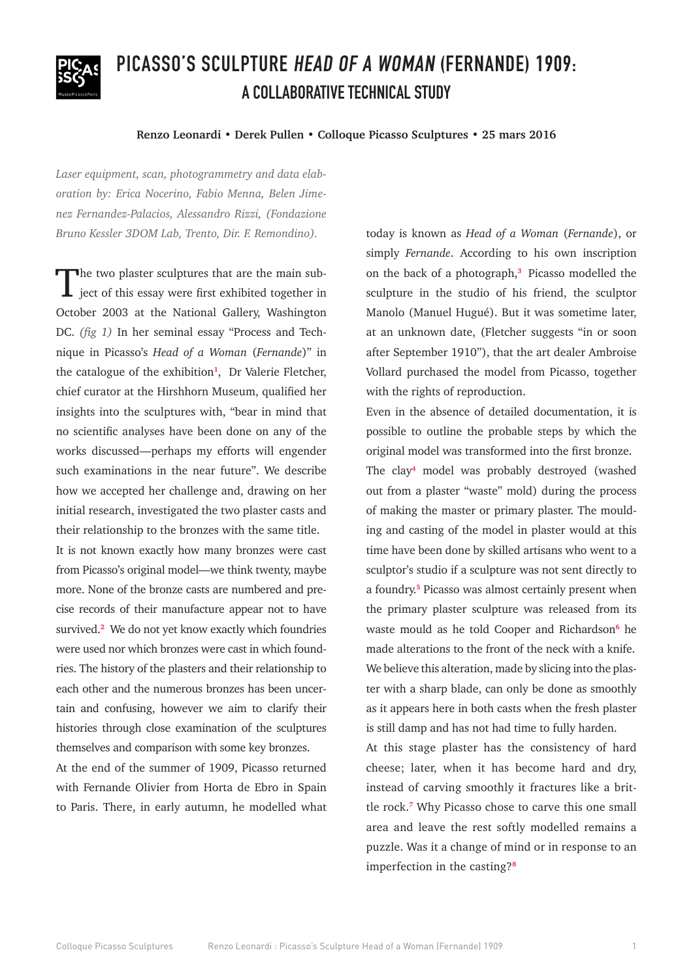

# **PICASSO'S SCULPTURE HEAD OF A WOMAN (FERNANDE) 1909: A COLLABORATIVE TECHNICAL STUDY**

### **Renzo Leonardi • Derek Pullen • Colloque Picasso Sculptures • 25 mars 2016**

*Laser equipment, scan, photogrammetry and data elaboration by: Erica Nocerino, Fabio Menna, Belen Jimenez Fernandez-Palacios, Alessandro Rizzi, (Fondazione Bruno Kessler 3DOM Lab, Trento, Dir. F. Remondino).*

The two plaster sculptures that are the main sub-<br>ject of this essay were first exhibited together in October 2003 at the National Gallery, Washington DC. *(fig 1)* In her seminal essay "Process and Technique in Picasso's *Head of a Woman* (*Fernande*)" in the catalogue of the exhibition**<sup>1</sup>**, Dr Valerie Fletcher, chief curator at the Hirshhorn Museum, qualified her insights into the sculptures with, "bear in mind that no scientific analyses have been done on any of the works discussed—perhaps my efforts will engender such examinations in the near future". We describe how we accepted her challenge and, drawing on her initial research, investigated the two plaster casts and their relationship to the bronzes with the same title.

It is not known exactly how many bronzes were cast from Picasso's original model—we think twenty, maybe more. None of the bronze casts are numbered and precise records of their manufacture appear not to have survived.**<sup>2</sup>** We do not yet know exactly which foundries were used nor which bronzes were cast in which foundries. The history of the plasters and their relationship to each other and the numerous bronzes has been uncertain and confusing, however we aim to clarify their histories through close examination of the sculptures themselves and comparison with some key bronzes.

At the end of the summer of 1909, Picasso returned with Fernande Olivier from Horta de Ebro in Spain to Paris. There, in early autumn, he modelled what today is known as *Head of a Woman* (*Fernande*), or simply *Fernande*. According to his own inscription on the back of a photograph,<sup>3</sup> Picasso modelled the sculpture in the studio of his friend, the sculptor Manolo (Manuel Hugué). But it was sometime later, at an unknown date, (Fletcher suggests "in or soon after September 1910"), that the art dealer Ambroise Vollard purchased the model from Picasso, together with the rights of reproduction.

Even in the absence of detailed documentation, it is possible to outline the probable steps by which the original model was transformed into the first bronze.

The clay**<sup>4</sup>** model was probably destroyed (washed out from a plaster "waste" mold) during the process of making the master or primary plaster. The moulding and casting of the model in plaster would at this time have been done by skilled artisans who went to a sculptor's studio if a sculpture was not sent directly to a foundry.**<sup>5</sup>** Picasso was almost certainly present when the primary plaster sculpture was released from its waste mould as he told Cooper and Richardson**<sup>6</sup>** he made alterations to the front of the neck with a knife. We believe this alteration, made by slicing into the plaster with a sharp blade, can only be done as smoothly as it appears here in both casts when the fresh plaster is still damp and has not had time to fully harden.

At this stage plaster has the consistency of hard cheese; later, when it has become hard and dry, instead of carving smoothly it fractures like a brittle rock.**<sup>7</sup>** Why Picasso chose to carve this one small area and leave the rest softly modelled remains a puzzle. Was it a change of mind or in response to an imperfection in the casting?**<sup>8</sup>**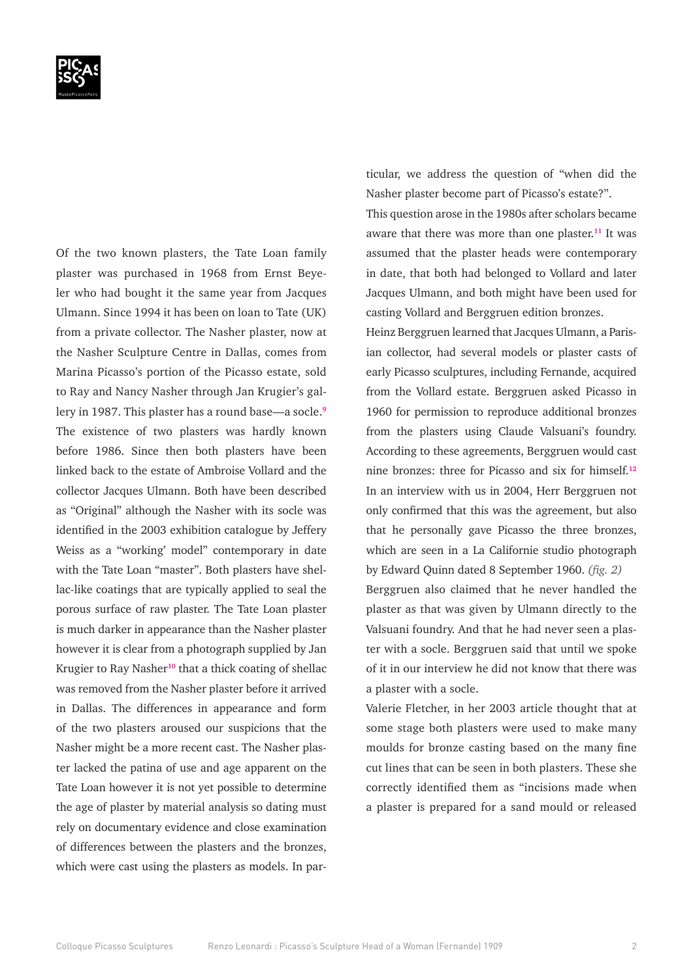

Of the two known plasters, the Tate Loan family plaster was purchased in 1968 from Ernst Beyeler who had bought it the same year from Jacques Ulmann. Since 1994 it has been on loan to Tate (UK) from a private collector. The Nasher plaster, now at the Nasher Sculpture Centre in Dallas, comes from Marina Picasso's portion of the Picasso estate, sold to Ray and Nancy Nasher through Jan Krugier's gallery in 1987. This plaster has a round base—a socle.**<sup>9</sup>** The existence of two plasters was hardly known before 1986. Since then both plasters have been linked back to the estate of Ambroise Vollard and the collector Jacques Ulmann. Both have been described as "Original" although the Nasher with its socle was identified in the 2003 exhibition catalogue by Jeffery Weiss as a "working' model" contemporary in date with the Tate Loan "master". Both plasters have shellac-like coatings that are typically applied to seal the porous surface of raw plaster. The Tate Loan plaster is much darker in appearance than the Nasher plaster however it is clear from a photograph supplied by Jan Krugier to Ray Nasher**<sup>10</sup>** that a thick coating of shellac was removed from the Nasher plaster before it arrived in Dallas. The differences in appearance and form of the two plasters aroused our suspicions that the Nasher might be a more recent cast. The Nasher plaster lacked the patina of use and age apparent on the Tate Loan however it is not yet possible to determine the age of plaster by material analysis so dating must rely on documentary evidence and close examination of differences between the plasters and the bronzes, which were cast using the plasters as models. In particular, we address the question of "when did the Nasher plaster become part of Picasso's estate?".

This question arose in the 1980s after scholars became aware that there was more than one plaster.**<sup>11</sup>** It was assumed that the plaster heads were contemporary in date, that both had belonged to Vollard and later Jacques Ulmann, and both might have been used for casting Vollard and Berggruen edition bronzes.

Heinz Berggruen learned that Jacques Ulmann, a Parisian collector, had several models or plaster casts of early Picasso sculptures, including Fernande, acquired from the Vollard estate. Berggruen asked Picasso in 1960 for permission to reproduce additional bronzes from the plasters using Claude Valsuani's foundry. According to these agreements, Berggruen would cast nine bronzes: three for Picasso and six for himself.**<sup>12</sup>** In an interview with us in 2004, Herr Berggruen not only confirmed that this was the agreement, but also that he personally gave Picasso the three bronzes, which are seen in a La Californie studio photograph by Edward Quinn dated 8 September 1960. *(fig. 2)* Berggruen also claimed that he never handled the plaster as that was given by Ulmann directly to the Valsuani foundry. And that he had never seen a plaster with a socle. Berggruen said that until we spoke of it in our interview he did not know that there was a plaster with a socle.

Valerie Fletcher, in her 2003 article thought that at some stage both plasters were used to make many moulds for bronze casting based on the many fine cut lines that can be seen in both plasters. These she correctly identified them as "incisions made when a plaster is prepared for a sand mould or released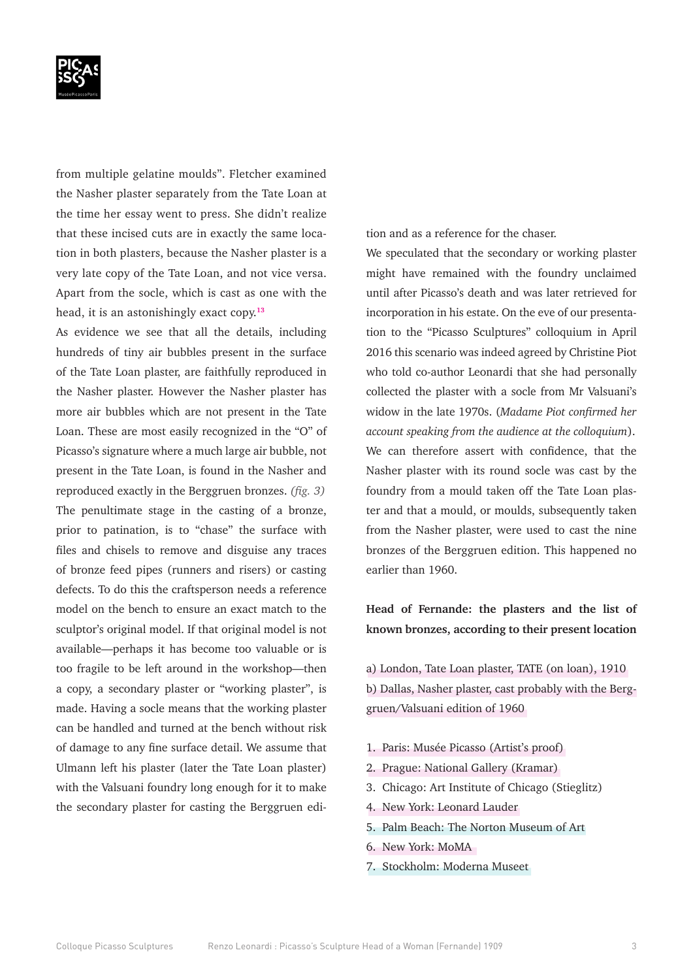

from multiple gelatine moulds". Fletcher examined the Nasher plaster separately from the Tate Loan at the time her essay went to press. She didn't realize that these incised cuts are in exactly the same location in both plasters, because the Nasher plaster is a very late copy of the Tate Loan, and not vice versa. Apart from the socle, which is cast as one with the head, it is an astonishingly exact copy.**<sup>13</sup>**

As evidence we see that all the details, including hundreds of tiny air bubbles present in the surface of the Tate Loan plaster, are faithfully reproduced in the Nasher plaster. However the Nasher plaster has more air bubbles which are not present in the Tate Loan. These are most easily recognized in the "O" of Picasso's signature where a much large air bubble, not present in the Tate Loan, is found in the Nasher and reproduced exactly in the Berggruen bronzes. *(fig. 3)* The penultimate stage in the casting of a bronze, prior to patination, is to "chase" the surface with files and chisels to remove and disguise any traces of bronze feed pipes (runners and risers) or casting defects. To do this the craftsperson needs a reference model on the bench to ensure an exact match to the sculptor's original model. If that original model is not available—perhaps it has become too valuable or is too fragile to be left around in the workshop—then a copy, a secondary plaster or "working plaster", is made. Having a socle means that the working plaster can be handled and turned at the bench without risk of damage to any fine surface detail. We assume that Ulmann left his plaster (later the Tate Loan plaster) with the Valsuani foundry long enough for it to make the secondary plaster for casting the Berggruen edition and as a reference for the chaser.

We speculated that the secondary or working plaster might have remained with the foundry unclaimed until after Picasso's death and was later retrieved for incorporation in his estate. On the eve of our presentation to the "Picasso Sculptures" colloquium in April 2016 this scenario was indeed agreed by Christine Piot who told co-author Leonardi that she had personally collected the plaster with a socle from Mr Valsuani's widow in the late 1970s. (*Madame Piot confirmed her account speaking from the audience at the colloquium*). We can therefore assert with confidence, that the Nasher plaster with its round socle was cast by the foundry from a mould taken off the Tate Loan plaster and that a mould, or moulds, subsequently taken from the Nasher plaster, were used to cast the nine bronzes of the Berggruen edition. This happened no earlier than 1960.

**Head of Fernande: the plasters and the list of known bronzes, according to their present location**

a) London, Tate Loan plaster, TATE (on loan), 1910 b) Dallas, Nasher plaster, cast probably with the Berggruen/Valsuani edition of 1960

- 1. Paris: Musée Picasso (Artist's proof)
- 2. Prague: National Gallery (Kramar)
- 3. Chicago: Art Institute of Chicago (Stieglitz)
- 4. New York: Leonard Lauder
- 5. Palm Beach: The Norton Museum of Art
- 6. New York: MoMA
- 7. Stockholm: Moderna Museet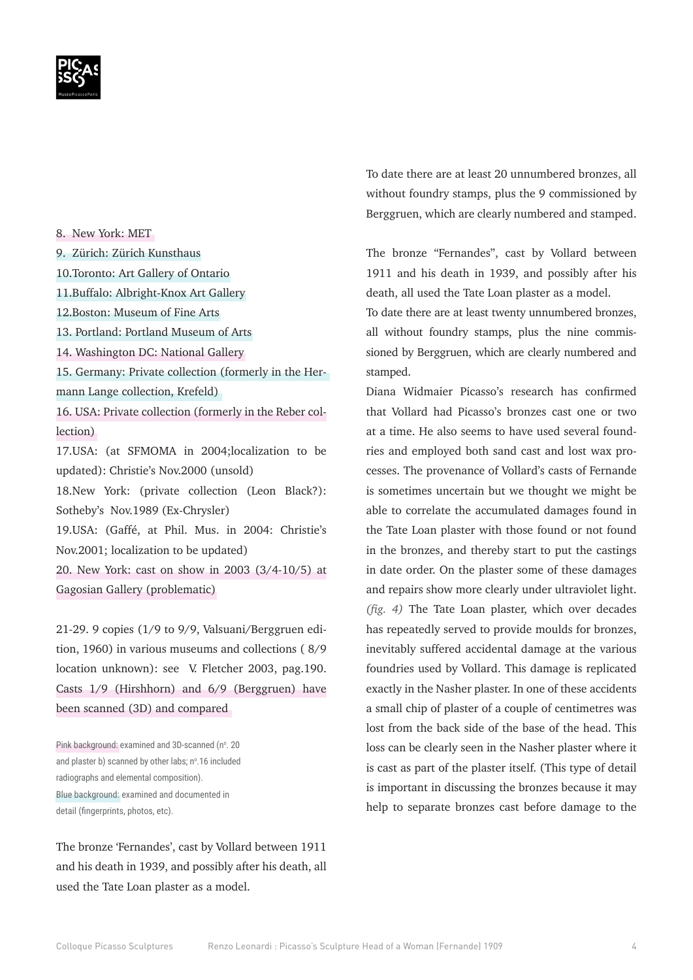8. New York: MET

9. Zürich: Zürich Kunsthaus

- 10.Toronto: Art Gallery of Ontario
- 11.Buffalo: Albright-Knox Art Gallery
- 12.Boston: Museum of Fine Arts
- 13. Portland: Portland Museum of Arts
- 14. Washington DC: National Gallery

15. Germany: Private collection (formerly in the Hermann Lange collection, Krefeld)

16. USA: Private collection (formerly in the Reber collection)

17.USA: (at SFMOMA in 2004;localization to be updated): Christie's Nov.2000 (unsold)

18.New York: (private collection (Leon Black?): Sotheby's Nov.1989 (Ex-Chrysler)

19.USA: (Gaffé, at Phil. Mus. in 2004: Christie's Nov.2001; localization to be updated)

20. New York: cast on show in 2003 (3/4-10/5) at Gagosian Gallery (problematic)

21-29. 9 copies (1/9 to 9/9, Valsuani/Berggruen edition, 1960) in various museums and collections ( 8/9 location unknown): see V. Fletcher 2003, pag.190. Casts 1/9 (Hirshhorn) and 6/9 (Berggruen) have been scanned (3D) and compared

Pink background: examined and 3D-scanned (n°. 20 and plaster b) scanned by other labs; nº.16 included radiographs and elemental composition). Blue background: examined and documented in detail (fingerprints, photos, etc).

The bronze 'Fernandes', cast by Vollard between 1911 and his death in 1939, and possibly after his death, all used the Tate Loan plaster as a model.

To date there are at least 20 unnumbered bronzes, all without foundry stamps, plus the 9 commissioned by Berggruen, which are clearly numbered and stamped.

The bronze "Fernandes", cast by Vollard between 1911 and his death in 1939, and possibly after his death, all used the Tate Loan plaster as a model.

To date there are at least twenty unnumbered bronzes, all without foundry stamps, plus the nine commissioned by Berggruen, which are clearly numbered and stamped.

Diana Widmaier Picasso's research has confirmed that Vollard had Picasso's bronzes cast one or two at a time. He also seems to have used several foundries and employed both sand cast and lost wax processes. The provenance of Vollard's casts of Fernande is sometimes uncertain but we thought we might be able to correlate the accumulated damages found in the Tate Loan plaster with those found or not found in the bronzes, and thereby start to put the castings in date order. On the plaster some of these damages and repairs show more clearly under ultraviolet light. *(fig. 4)* The Tate Loan plaster, which over decades has repeatedly served to provide moulds for bronzes, inevitably suffered accidental damage at the various foundries used by Vollard. This damage is replicated exactly in the Nasher plaster. In one of these accidents a small chip of plaster of a couple of centimetres was lost from the back side of the base of the head. This loss can be clearly seen in the Nasher plaster where it is cast as part of the plaster itself. (This type of detail is important in discussing the bronzes because it may help to separate bronzes cast before damage to the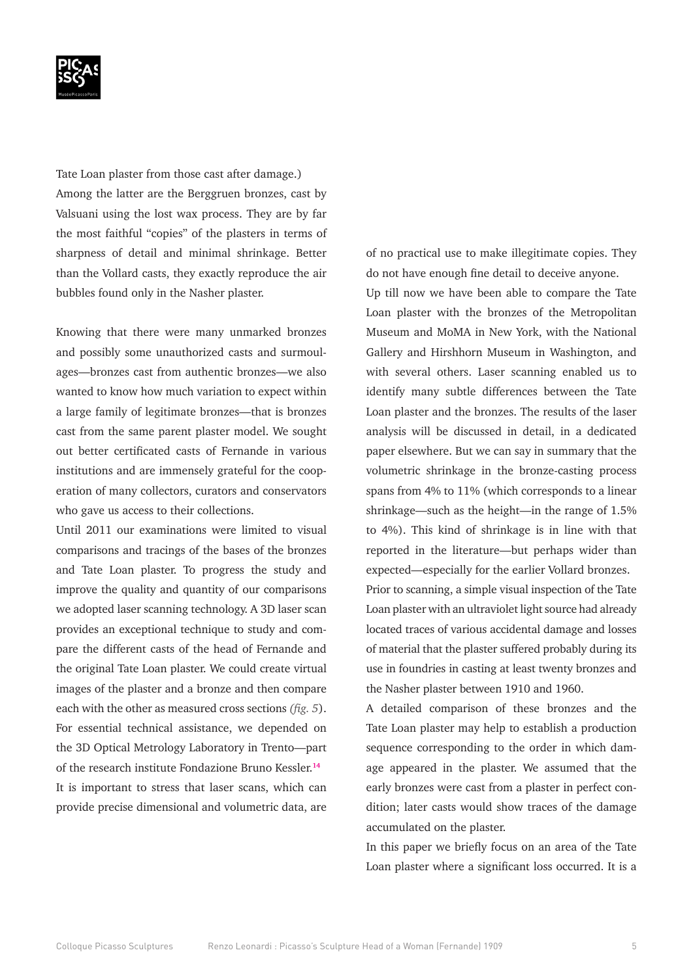

Tate Loan plaster from those cast after damage.) Among the latter are the Berggruen bronzes, cast by Valsuani using the lost wax process. They are by far the most faithful "copies" of the plasters in terms of sharpness of detail and minimal shrinkage. Better than the Vollard casts, they exactly reproduce the air bubbles found only in the Nasher plaster.

Knowing that there were many unmarked bronzes and possibly some unauthorized casts and surmoulages—bronzes cast from authentic bronzes—we also wanted to know how much variation to expect within a large family of legitimate bronzes—that is bronzes cast from the same parent plaster model. We sought out better certificated casts of Fernande in various institutions and are immensely grateful for the cooperation of many collectors, curators and conservators who gave us access to their collections.

Until 2011 our examinations were limited to visual comparisons and tracings of the bases of the bronzes and Tate Loan plaster. To progress the study and improve the quality and quantity of our comparisons we adopted laser scanning technology. A 3D laser scan provides an exceptional technique to study and compare the different casts of the head of Fernande and the original Tate Loan plaster. We could create virtual images of the plaster and a bronze and then compare each with the other as measured cross sections *(fig. 5*). For essential technical assistance, we depended on the 3D Optical Metrology Laboratory in Trento—part of the research institute Fondazione Bruno Kessler.**<sup>14</sup>** It is important to stress that laser scans, which can provide precise dimensional and volumetric data, are

of no practical use to make illegitimate copies. They do not have enough fine detail to deceive anyone.

Up till now we have been able to compare the Tate Loan plaster with the bronzes of the Metropolitan Museum and MoMA in New York, with the National Gallery and Hirshhorn Museum in Washington, and with several others. Laser scanning enabled us to identify many subtle differences between the Tate Loan plaster and the bronzes. The results of the laser analysis will be discussed in detail, in a dedicated paper elsewhere. But we can say in summary that the volumetric shrinkage in the bronze-casting process spans from 4% to 11% (which corresponds to a linear shrinkage—such as the height—in the range of 1.5% to 4%). This kind of shrinkage is in line with that reported in the literature—but perhaps wider than expected—especially for the earlier Vollard bronzes. Prior to scanning, a simple visual inspection of the Tate Loan plaster with an ultraviolet light source had already located traces of various accidental damage and losses of material that the plaster suffered probably during its use in foundries in casting at least twenty bronzes and the Nasher plaster between 1910 and 1960.

A detailed comparison of these bronzes and the Tate Loan plaster may help to establish a production sequence corresponding to the order in which damage appeared in the plaster. We assumed that the early bronzes were cast from a plaster in perfect condition; later casts would show traces of the damage accumulated on the plaster.

In this paper we briefly focus on an area of the Tate Loan plaster where a significant loss occurred. It is a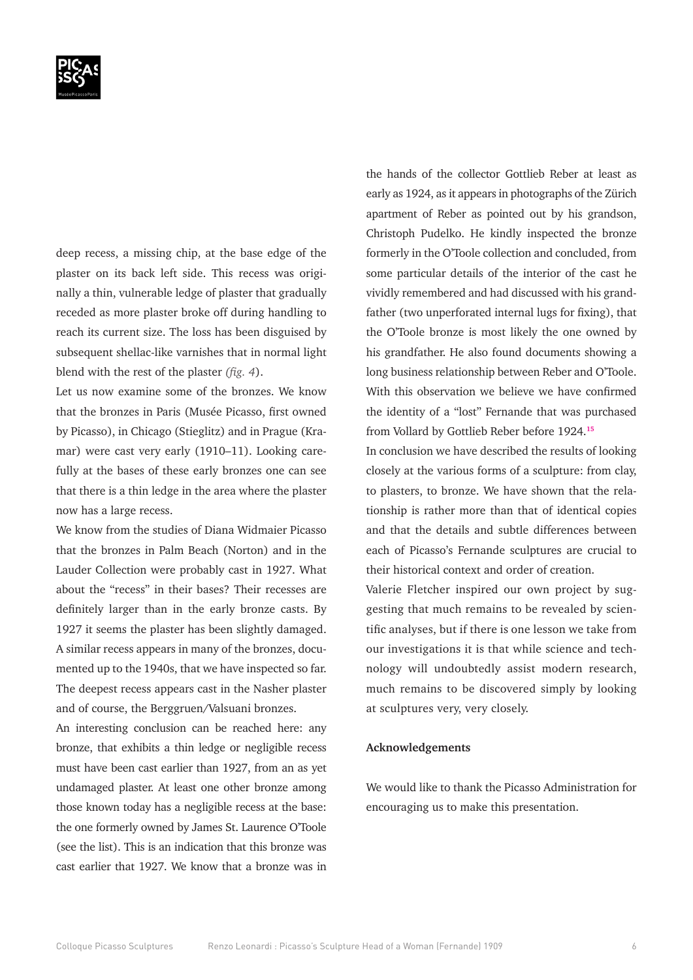

deep recess, a missing chip, at the base edge of the plaster on its back left side. This recess was originally a thin, vulnerable ledge of plaster that gradually receded as more plaster broke off during handling to reach its current size. The loss has been disguised by subsequent shellac-like varnishes that in normal light blend with the rest of the plaster *(fig. 4*).

Let us now examine some of the bronzes. We know that the bronzes in Paris (Musée Picasso, first owned by Picasso), in Chicago (Stieglitz) and in Prague (Kramar) were cast very early (1910–11). Looking carefully at the bases of these early bronzes one can see that there is a thin ledge in the area where the plaster now has a large recess.

We know from the studies of Diana Widmaier Picasso that the bronzes in Palm Beach (Norton) and in the Lauder Collection were probably cast in 1927. What about the "recess" in their bases? Their recesses are definitely larger than in the early bronze casts. By 1927 it seems the plaster has been slightly damaged. A similar recess appears in many of the bronzes, documented up to the 1940s, that we have inspected so far. The deepest recess appears cast in the Nasher plaster and of course, the Berggruen/Valsuani bronzes.

An interesting conclusion can be reached here: any bronze, that exhibits a thin ledge or negligible recess must have been cast earlier than 1927, from an as yet undamaged plaster. At least one other bronze among those known today has a negligible recess at the base: the one formerly owned by James St. Laurence O'Toole (see the list). This is an indication that this bronze was cast earlier that 1927. We know that a bronze was in

the hands of the collector Gottlieb Reber at least as early as 1924, as it appears in photographs of the Zürich apartment of Reber as pointed out by his grandson, Christoph Pudelko. He kindly inspected the bronze formerly in the O'Toole collection and concluded, from some particular details of the interior of the cast he vividly remembered and had discussed with his grandfather (two unperforated internal lugs for fixing), that the O'Toole bronze is most likely the one owned by his grandfather. He also found documents showing a long business relationship between Reber and O'Toole. With this observation we believe we have confirmed the identity of a "lost" Fernande that was purchased from Vollard by Gottlieb Reber before 1924.**<sup>15</sup>**

In conclusion we have described the results of looking closely at the various forms of a sculpture: from clay, to plasters, to bronze. We have shown that the relationship is rather more than that of identical copies and that the details and subtle differences between each of Picasso's Fernande sculptures are crucial to their historical context and order of creation.

Valerie Fletcher inspired our own project by suggesting that much remains to be revealed by scientific analyses, but if there is one lesson we take from our investigations it is that while science and technology will undoubtedly assist modern research, much remains to be discovered simply by looking at sculptures very, very closely.

#### **Acknowledgements**

We would like to thank the Picasso Administration for encouraging us to make this presentation.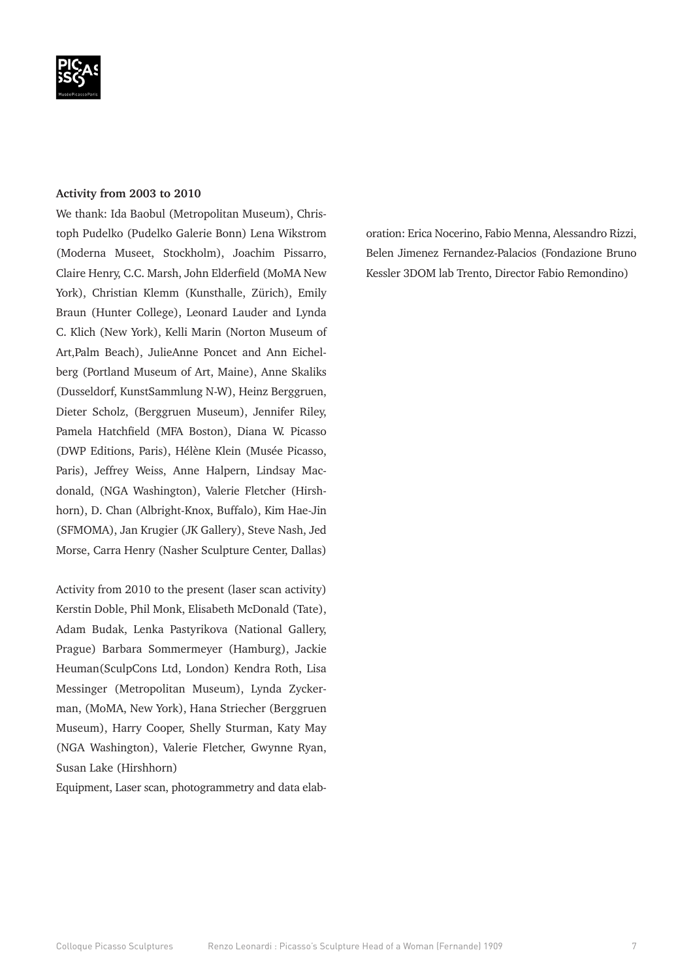#### **Activity from 2003 to 2010**

We thank: Ida Baobul (Metropolitan Museum), Christoph Pudelko (Pudelko Galerie Bonn) Lena Wikstrom (Moderna Museet, Stockholm), Joachim Pissarro, Claire Henry, C.C. Marsh, John Elderfield (MoMA New York), Christian Klemm (Kunsthalle, Zürich), Emily Braun (Hunter College), Leonard Lauder and Lynda C. Klich (New York), Kelli Marin (Norton Museum of Art,Palm Beach), JulieAnne Poncet and Ann Eichelberg (Portland Museum of Art, Maine), Anne Skaliks (Dusseldorf, KunstSammlung N-W), Heinz Berggruen, Dieter Scholz, (Berggruen Museum), Jennifer Riley, Pamela Hatchfield (MFA Boston), Diana W. Picasso (DWP Editions, Paris), Hélène Klein (Musée Picasso, Paris), Jeffrey Weiss, Anne Halpern, Lindsay Macdonald, (NGA Washington), Valerie Fletcher (Hirshhorn), D. Chan (Albright-Knox, Buffalo), Kim Hae-Jin (SFMOMA), Jan Krugier (JK Gallery), Steve Nash, Jed Morse, Carra Henry (Nasher Sculpture Center, Dallas)

Activity from 2010 to the present (laser scan activity) Kerstin Doble, Phil Monk, Elisabeth McDonald (Tate), Adam Budak, Lenka Pastyrikova (National Gallery, Prague) Barbara Sommermeyer (Hamburg), Jackie Heuman(SculpCons Ltd, London) Kendra Roth, Lisa Messinger (Metropolitan Museum), Lynda Zyckerman, (MoMA, New York), Hana Striecher (Berggruen Museum), Harry Cooper, Shelly Sturman, Katy May (NGA Washington), Valerie Fletcher, Gwynne Ryan, Susan Lake (Hirshhorn)

Equipment, Laser scan, photogrammetry and data elab-

oration: Erica Nocerino, Fabio Menna, Alessandro Rizzi, Belen Jimenez Fernandez-Palacios (Fondazione Bruno Kessler 3DOM lab Trento, Director Fabio Remondino)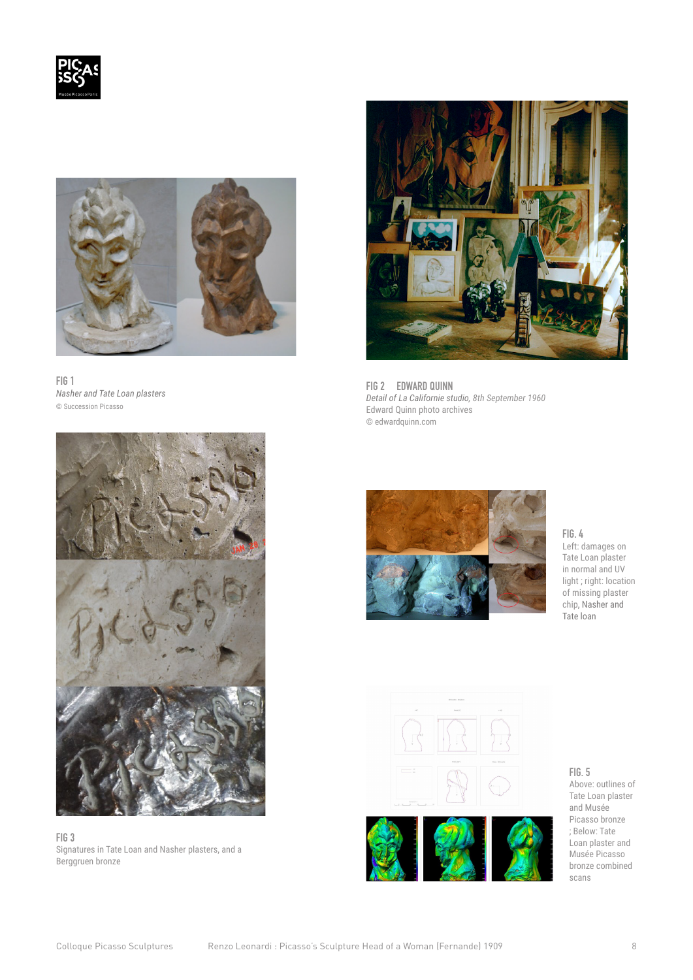



**FIG 1** *Nasher and Tate Loan plasters*  © Succession Picasso



**FIG 3** Signatures in Tate Loan and Nasher plasters, and a Berggruen bronze



**FIG 2 EDWARD QUINN** *Detail of La Californie studio, 8th September 1960* Edward Quinn photo archives © edwardquinn.com



**FIG. 4** Left: damages on Tate Loan plaster in normal and UV

light ; right: location of missing plaster chip, Nasher and Tate loan





**FIG. 5** Above: outlines of Tate Loan plaster and Musée Picasso bronze ; Below: Tate Loan plaster and Musée Picasso bronze combined scans